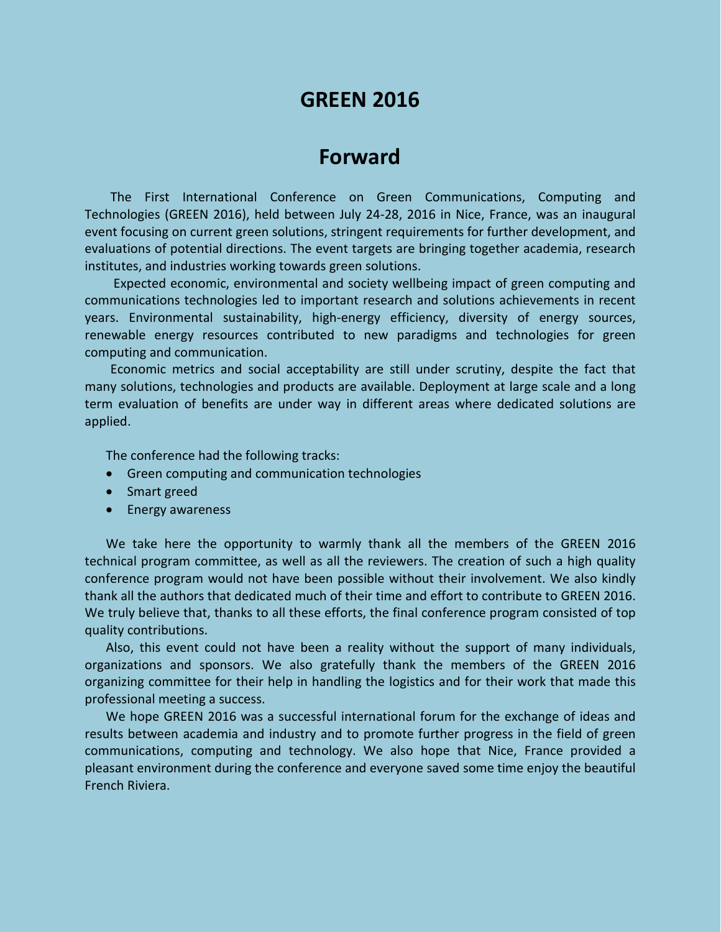# **GREEN 2016**

## **Forward**

The First International Conference on Green Communications, Computing and Technologies (GREEN 2016), held between July 24-28, 2016 in Nice, France, was an inaugural event focusing on current green solutions, stringent requirements for further development, and evaluations of potential directions. The event targets are bringing together academia, research institutes, and industries working towards green solutions.

Expected economic, environmental and society wellbeing impact of green computing and communications technologies led to important research and solutions achievements in recent years. Environmental sustainability, high-energy efficiency, diversity of energy sources, renewable energy resources contributed to new paradigms and technologies for green computing and communication.

Economic metrics and social acceptability are still under scrutiny, despite the fact that many solutions, technologies and products are available. Deployment at large scale and a long term evaluation of benefits are under way in different areas where dedicated solutions are applied.

The conference had the following tracks:

- Green computing and communication technologies
- Smart greed
- Energy awareness

We take here the opportunity to warmly thank all the members of the GREEN 2016 technical program committee, as well as all the reviewers. The creation of such a high quality conference program would not have been possible without their involvement. We also kindly thank all the authors that dedicated much of their time and effort to contribute to GREEN 2016. We truly believe that, thanks to all these efforts, the final conference program consisted of top quality contributions.

Also, this event could not have been a reality without the support of many individuals, organizations and sponsors. We also gratefully thank the members of the GREEN 2016 organizing committee for their help in handling the logistics and for their work that made this professional meeting a success.

We hope GREEN 2016 was a successful international forum for the exchange of ideas and results between academia and industry and to promote further progress in the field of green communications, computing and technology. We also hope that Nice, France provided a pleasant environment during the conference and everyone saved some time enjoy the beautiful French Riviera.